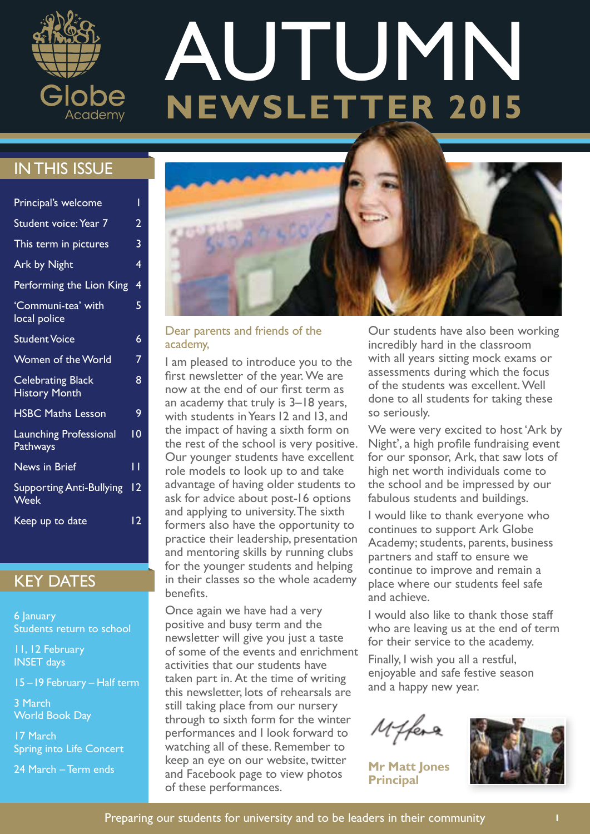

# **AUTUMN**<br>NEWSLETTER 2015

### IN THIS ISSUE

| Principal's welcome                              | Ī  |
|--------------------------------------------------|----|
| <b>Student voice: Year 7</b>                     | 2  |
| This term in pictures                            | 3  |
| <b>Ark by Night</b>                              | 4  |
| Performing the Lion King                         | 4  |
| 'Communi-tea' with<br>local police               | 5  |
| <b>Student Voice</b>                             | 6  |
| Women of the World                               | 7  |
| <b>Celebrating Black</b><br><b>History Month</b> | 8  |
| <b>HSBC Maths Lesson</b>                         | 9  |
| <b>Launching Professional</b><br>Pathways        | 10 |
| <b>News in Brief</b>                             | П  |
| <b>Supporting Anti-Bullying</b><br>Week          | 12 |
| Keep up to date                                  | 12 |

### KEY DATES

6 January Students return to school

11, 12 February INSET days

3 March World Book Day

17 March Spring into Life Concert

24 March – Term ends



### Dear parents and friends of the academy,

I am pleased to introduce you to the first newsletter of the year. We are now at the end of our first term as an academy that truly is 3–18 years, with students in Years 12 and 13, and the impact of having a sixth form on the rest of the school is very positive. Our younger students have excellent role models to look up to and take advantage of having older students to ask for advice about post-16 options and applying to university. The sixth formers also have the opportunity to practice their leadership, presentation and mentoring skills by running clubs for the younger students and helping in their classes so the whole academy benefits.

Once again we have had a very positive and busy term and the newsletter will give you just a taste of some of the events and enrichment activities that our students have taken part in. At the time of writing this newsletter, lots of rehearsals are still taking place from our nursery through to sixth form for the winter performances and I look forward to watching all of these. Remember to keep an eye on our website, twitter and Facebook page to view photos of these performances.

Our students have also been working incredibly hard in the classroom with all years sitting mock exams or assessments during which the focus of the students was excellent. Well done to all students for taking these so seriously.

We were very excited to host 'Ark by Night', a high profile fundraising event for our sponsor, Ark, that saw lots of high net worth individuals come to the school and be impressed by our fabulous students and buildings.

I would like to thank everyone who continues to support Ark Globe Academy; students, parents, business partners and staff to ensure we continue to improve and remain a place where our students feel safe and achieve.

I would also like to thank those staff who are leaving us at the end of term for their service to the academy.

Finally, I wish you all a restful, enjoyable and safe festive season and a happy new year.

Miffere

**Mr Matt Jones Principal**

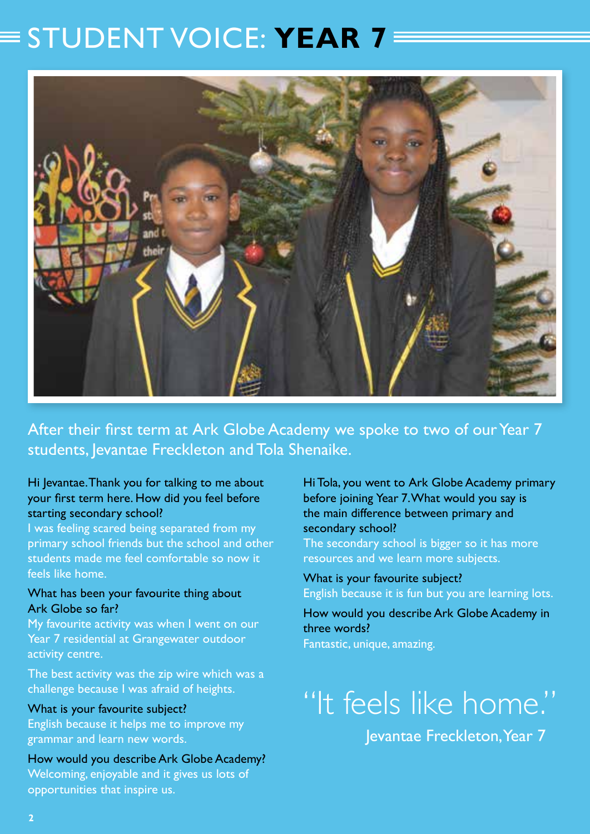### $\equiv$  STUDENT VOICE: **YEAR 7**



After their first term at Ark Globe Academy we spoke to two of our Year 7 students, Jevantae Freckleton and Tola Shenaike.

### Hi Jevantae. Thank you for talking to me about your first term here. How did you feel before starting secondary school?

I was feeling scared being separated from my primary school friends but the school and other students made me feel comfortable so now it feels like home.

### What has been your favourite thing about Ark Globe so far?

My favourite activity was when I went on our Year 7 residential at Grangewater outdoor activity centre.

The best activity was the zip wire which was a challenge because I was afraid of heights.

### What is your favourite subject?

English because it helps me to improve my grammar and learn new words.

How would you describe Ark Globe Academy? Welcoming, enjoyable and it gives us lots of opportunities that inspire us.

### Hi Tola, you went to Ark Globe Academy primary before joining Year 7. What would you say is the main difference between primary and secondary school?

The secondary school is bigger so it has more resources and we learn more subjects.

What is your favourite subject? English because it is fun but you are learning lots.

How would you describe Ark Globe Academy in three words? Fantastic, unique, amazing.

# "It feels like home."

Jevantae Freckleton, Year 7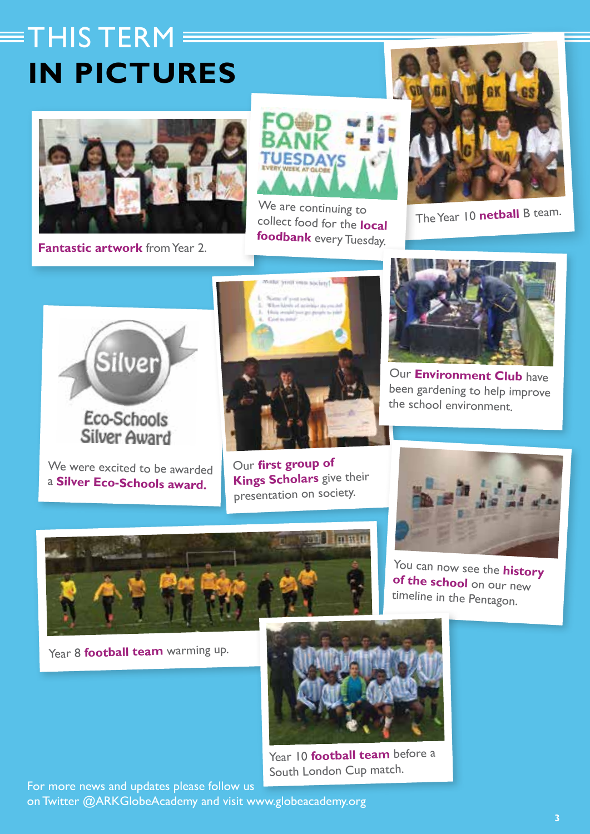# $\equiv$ THIS TERM  $\equiv$ **IN PICTURES**



**Fantastic artwork** from Year 2.



We are continuing to collect food for the **local foodbank** every Tuesday.



The Year 10 **netball** B team.



We were excited to be awarded <sup>a</sup>**Silver Eco-Schools award.**



Our **first group o<sup>f</sup> Kings Scholars** give their presentation on society.



Our **Environment Club** have been gardening to help improve the school environment.



**of the school** on our new timeline in the Pentagon.



Year 8 **football team** warming up.



Year 10 **football team** before a South London Cup match.

For more news and updates please follow us on Twitter @ARKGlobeAcademy and visit www.globeacademy.org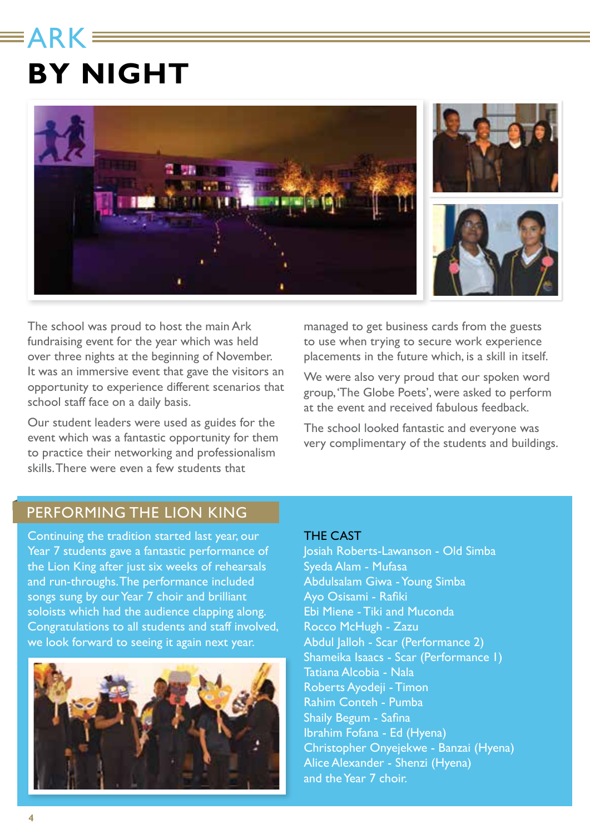### **ARK: BY NIGHT**



The school was proud to host the main Ark fundraising event for the year which was held over three nights at the beginning of November. It was an immersive event that gave the visitors an opportunity to experience different scenarios that school staff face on a daily basis.

Our student leaders were used as guides for the event which was a fantastic opportunity for them to practice their networking and professionalism skills. There were even a few students that

managed to get business cards from the guests to use when trying to secure work experience placements in the future which, is a skill in itself.

We were also very proud that our spoken word group, 'The Globe Poets', were asked to perform at the event and received fabulous feedback.

The school looked fantastic and everyone was very complimentary of the students and buildings.

### PERFORMING THE LION KING

Continuing the tradition started last year, our Year 7 students gave a fantastic performance of the Lion King after just six weeks of rehearsals and run-throughs. The performance included songs sung by our Year 7 choir and brilliant soloists which had the audience clapping along. Congratulations to all students and staff involved, we look forward to seeing it again next year.



#### THE CAST

Josiah Roberts-Lawanson - Old Simba Syeda Alam - Mufasa Abdulsalam Giwa - Young Simba Ayo Osisami - Rafiki Ebi Miene - Tiki and Muconda Rocco McHugh - Zazu Abdul Jalloh - Scar (Performance 2) Shameika Isaacs - Scar (Performance 1) Tatiana Alcobia - Nala Roberts Ayodeji - Timon Rahim Conteh - Pumba Shaily Begum - Safina Ibrahim Fofana - Ed (Hyena) Christopher Onyejekwe - Banzai (Hyena) Alice Alexander - Shenzi (Hyena) and the Year 7 choir.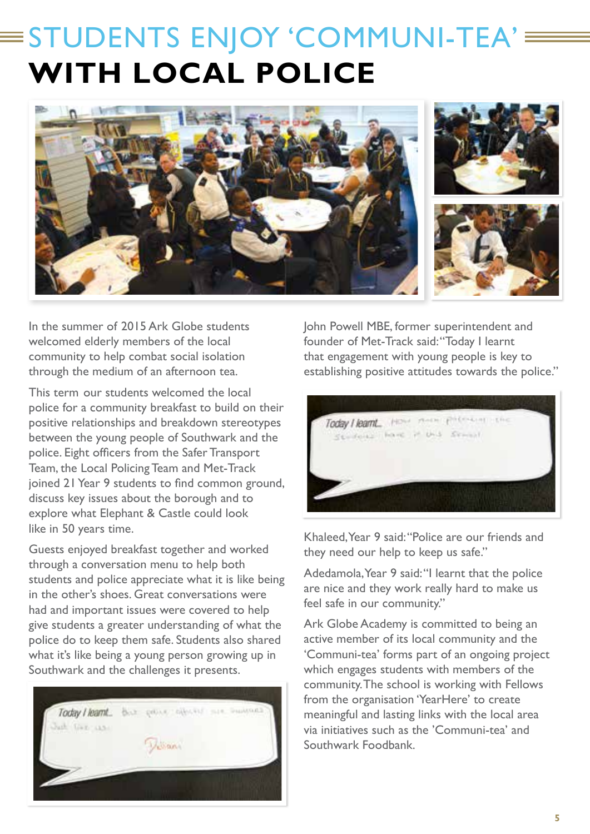# $\equiv$ STUDENTS ENJOY 'COMMUNI-TEA' $\equiv$ **WITH LOCAL POLICE**



In the summer of 2015 Ark Globe students welcomed elderly members of the local community to help combat social isolation through the medium of an afternoon tea.

This term our students welcomed the local police for a community breakfast to build on their positive relationships and breakdown stereotypes between the young people of Southwark and the police. Eight officers from the Safer Transport Team, the Local Policing Team and Met-Track joined 21 Year 9 students to find common ground, discuss key issues about the borough and to explore what Elephant & Castle could look like in 50 years time.

Guests enjoyed breakfast together and worked through a conversation menu to help both students and police appreciate what it is like being in the other's shoes. Great conversations were had and important issues were covered to help give students a greater understanding of what the police do to keep them safe. Students also shared what it's like being a young person growing up in Southwark and the challenges it presents.



John Powell MBE, former superintendent and founder of Met-Track said: "Today I learnt that engagement with young people is key to establishing positive attitudes towards the police."



Khaleed, Year 9 said: "Police are our friends and they need our help to keep us safe."

Adedamola, Year 9 said: "I learnt that the police are nice and they work really hard to make us feel safe in our community."

Ark Globe Academy is committed to being an active member of its local community and the 'Communi-tea' forms part of an ongoing project which engages students with members of the community. The school is working with Fellows from the organisation 'YearHere' to create meaningful and lasting links with the local area via initiatives such as the 'Communi-tea' and Southwark Foodbank.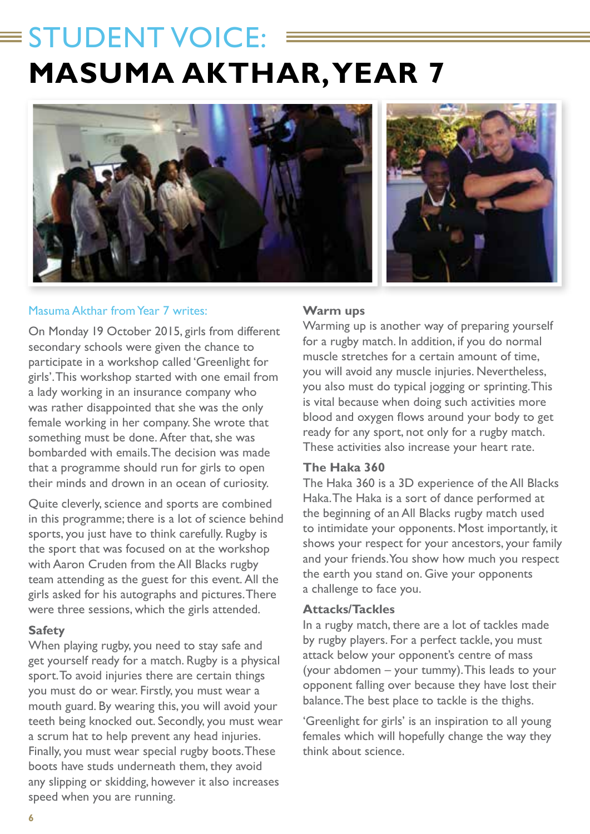# $\equiv$  STUDENT VOICE: **MASUMA AKTHAR, YEAR 7**





### Masuma Akthar from Year 7 writes:

On Monday 19 October 2015, girls from different secondary schools were given the chance to participate in a workshop called 'Greenlight for girls'. This workshop started with one email from a lady working in an insurance company who was rather disappointed that she was the only female working in her company. She wrote that something must be done. After that, she was bombarded with emails. The decision was made that a programme should run for girls to open their minds and drown in an ocean of curiosity.

Quite cleverly, science and sports are combined in this programme; there is a lot of science behind sports, you just have to think carefully. Rugby is the sport that was focused on at the workshop with Aaron Cruden from the All Blacks rugby team attending as the guest for this event. All the girls asked for his autographs and pictures. There were three sessions, which the girls attended.

#### **Safety**

When playing rugby, you need to stay safe and get yourself ready for a match. Rugby is a physical sport. To avoid injuries there are certain things you must do or wear. Firstly, you must wear a mouth guard. By wearing this, you will avoid your teeth being knocked out. Secondly, you must wear a scrum hat to help prevent any head injuries. Finally, you must wear special rugby boots. These boots have studs underneath them, they avoid any slipping or skidding, however it also increases speed when you are running.

#### **Warm ups**

Warming up is another way of preparing yourself for a rugby match. In addition, if you do normal muscle stretches for a certain amount of time, you will avoid any muscle injuries. Nevertheless, you also must do typical jogging or sprinting. This is vital because when doing such activities more blood and oxygen flows around your body to get ready for any sport, not only for a rugby match. These activities also increase your heart rate.

#### **The Haka 360**

The Haka 360 is a 3D experience of the All Blacks Haka. The Haka is a sort of dance performed at the beginning of an All Blacks rugby match used to intimidate your opponents. Most importantly, it shows your respect for your ancestors, your family and your friends. You show how much you respect the earth you stand on. Give your opponents a challenge to face you.

#### **Attacks/Tackles**

In a rugby match, there are a lot of tackles made by rugby players. For a perfect tackle, you must attack below your opponent's centre of mass (your abdomen – your tummy). This leads to your opponent falling over because they have lost their balance. The best place to tackle is the thighs.

'Greenlight for girls' is an inspiration to all young females which will hopefully change the way they think about science.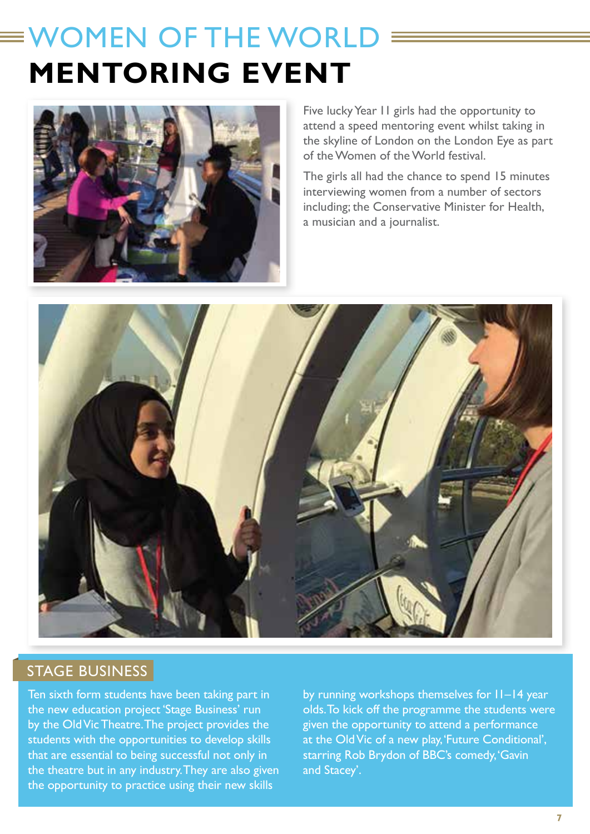# WOMEN OF THE WORLD **MENTORING EVENT**



Five lucky Year 11 girls had the opportunity to attend a speed mentoring event whilst taking in the skyline of London on the London Eye as part of the Women of the World festival.

The girls all had the chance to spend 15 minutes interviewing women from a number of sectors including; the Conservative Minister for Health, a musician and a journalist.



### STAGE BUSINESS

Ten sixth form students have been taking part in the new education project 'Stage Business' run by the Old Vic Theatre. The project provides the students with the opportunities to develop skills that are essential to being successful not only in the theatre but in any industry. They are also given the opportunity to practice using their new skills

by running workshops themselves for 11–14 year olds. To kick off the programme the students were given the opportunity to attend a performance at the Old Vic of a new play, 'Future Conditional', starring Rob Brydon of BBC's comedy, 'Gavin and Stacey'.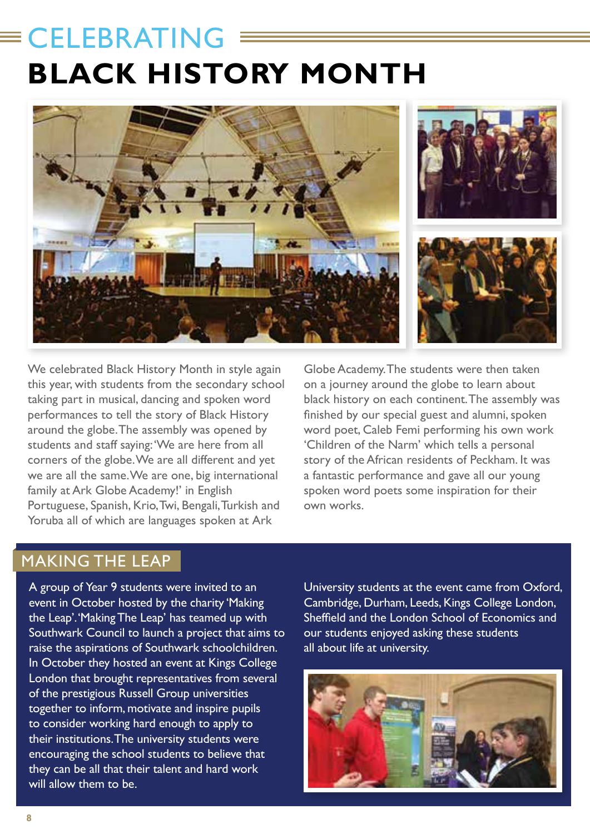# CELEBRATING **BLACK HISTORY MONTH**



We celebrated Black History Month in style again this year, with students from the secondary school taking part in musical, dancing and spoken word performances to tell the story of Black History around the globe. The assembly was opened by students and staff saying: 'We are here from all corners of the globe. We are all different and yet we are all the same. We are one, big international family at Ark Globe Academy!' in English Portuguese, Spanish, Krio, Twi, Bengali, Turkish and Yoruba all of which are languages spoken at Ark

Globe Academy. The students were then taken on a journey around the globe to learn about black history on each continent. The assembly was finished by our special guest and alumni, spoken word poet, Caleb Femi performing his own work 'Children of the Narm' which tells a personal story of the African residents of Peckham. It was a fantastic performance and gave all our young spoken word poets some inspiration for their own works.

### MAKING THE LEAP

A group of Year 9 students were invited to an event in October hosted by the charity 'Making the Leap'. 'Making The Leap' has teamed up with Southwark Council to launch a project that aims to raise the aspirations of Southwark schoolchildren. In October they hosted an event at Kings College London that brought representatives from several of the prestigious Russell Group universities together to inform, motivate and inspire pupils to consider working hard enough to apply to their institutions. The university students were encouraging the school students to believe that they can be all that their talent and hard work will allow them to be.

University students at the event came from Oxford, Cambridge, Durham, Leeds, Kings College London, Sheffield and the London School of Economics and our students enjoyed asking these students all about life at university.

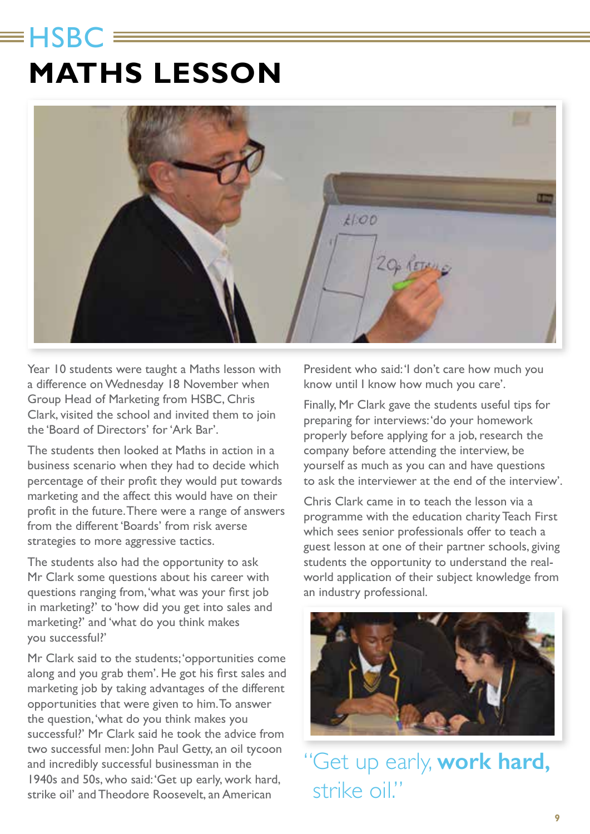# $\equiv$ HSBC  $\equiv$ **MATHS LESSON**



Year 10 students were taught a Maths lesson with a difference on Wednesday 18 November when Group Head of Marketing from HSBC, Chris Clark, visited the school and invited them to join the 'Board of Directors' for 'Ark Bar'.

The students then looked at Maths in action in a business scenario when they had to decide which percentage of their profit they would put towards marketing and the affect this would have on their profit in the future. There were a range of answers from the different 'Boards' from risk averse strategies to more aggressive tactics.

The students also had the opportunity to ask Mr Clark some questions about his career with questions ranging from, 'what was your first job in marketing?' to 'how did you get into sales and marketing?' and 'what do you think makes you successful?'

Mr Clark said to the students; 'opportunities come along and you grab them'. He got his first sales and marketing job by taking advantages of the different opportunities that were given to him. To answer the question, 'what do you think makes you successful?' Mr Clark said he took the advice from two successful men: John Paul Getty, an oil tycoon and incredibly successful businessman in the 1940s and 50s, who said: 'Get up early, work hard, strike oil' and Theodore Roosevelt, an American

President who said: 'I don't care how much you know until I know how much you care'.

Finally, Mr Clark gave the students useful tips for preparing for interviews: 'do your homework properly before applying for a job, research the company before attending the interview, be yourself as much as you can and have questions to ask the interviewer at the end of the interview'.

Chris Clark came in to teach the lesson via a programme with the education charity Teach First which sees senior professionals offer to teach a guest lesson at one of their partner schools, giving students the opportunity to understand the realworld application of their subject knowledge from an industry professional.



"Get up early, **work hard,** strike oil."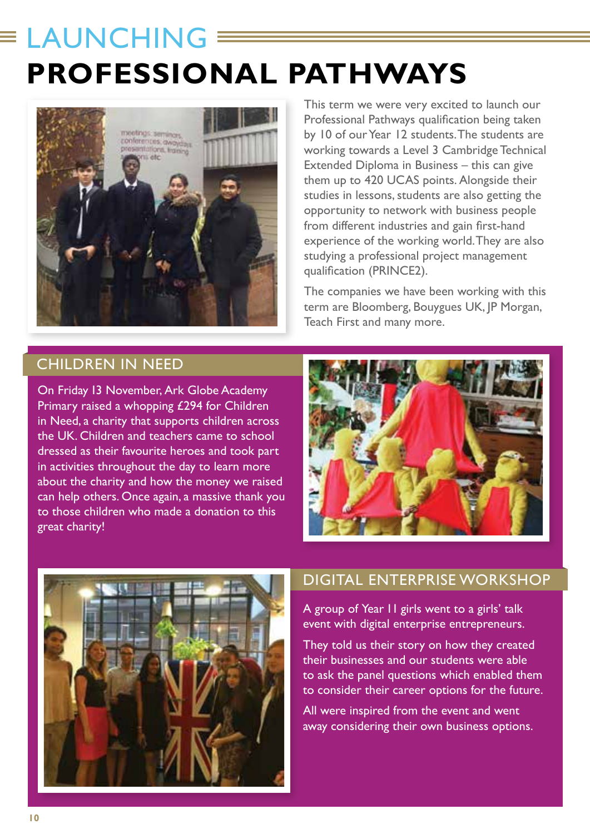# $\equiv$  LAUNCHING **PROFESSIONAL PATHWAYS**



This term we were very excited to launch our Professional Pathways qualification being taken by 10 of our Year 12 students. The students are working towards a Level 3 Cambridge Technical Extended Diploma in Business – this can give them up to 420 UCAS points. Alongside their studies in lessons, students are also getting the opportunity to network with business people from different industries and gain first-hand experience of the working world. They are also studying a professional project management qualification (PRINCE2).

The companies we have been working with this term are Bloomberg, Bouygues UK, JP Morgan, Teach First and many more.

### CHILDREN IN NEED

On Friday 13 November, Ark Globe Academy Primary raised a whopping £294 for Children in Need, a charity that supports children across the UK. Children and teachers came to school dressed as their favourite heroes and took part in activities throughout the day to learn more about the charity and how the money we raised can help others. Once again, a massive thank you to those children who made a donation to this great charity!





### DIGITAL ENTERPRISE WORKSHOP

A group of Year 11 girls went to a girls' talk event with digital enterprise entrepreneurs.

They told us their story on how they created their businesses and our students were able to ask the panel questions which enabled them to consider their career options for the future.

All were inspired from the event and went away considering their own business options.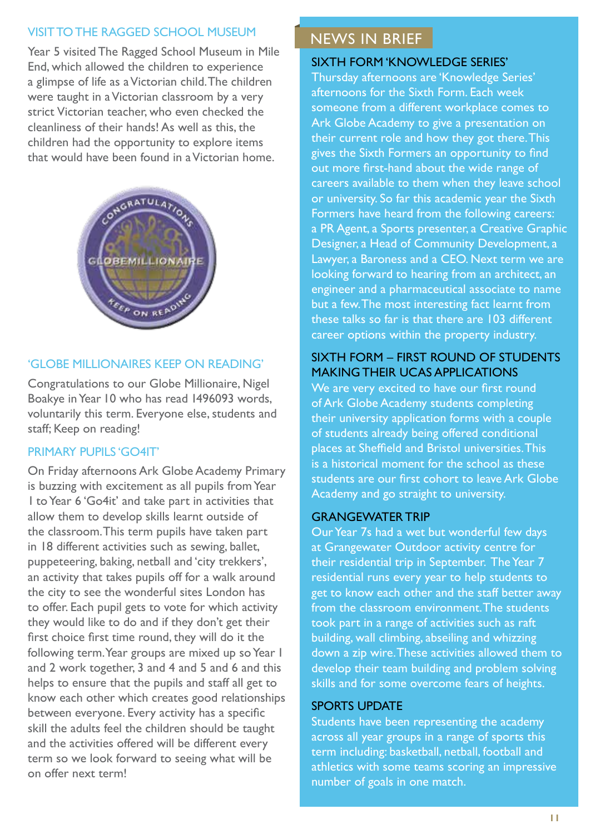### VISIT TO THE RAGGED SCHOOL MUSEUM

Year 5 visited The Ragged School Museum in Mile End, which allowed the children to experience a glimpse of life as a Victorian child. The children were taught in a Victorian classroom by a very strict Victorian teacher, who even checked the cleanliness of their hands! As well as this, the children had the opportunity to explore items that would have been found in a Victorian home.



### 'GLOBE MILLIONAIRES KEEP ON READING'

Congratulations to our Globe Millionaire, Nigel Boakye in Year 10 who has read 1496093 words, voluntarily this term. Everyone else, students and staff; Keep on reading!

### PRIMARY PUPILS 'GO4IT'

On Friday afternoons Ark Globe Academy Primary is buzzing with excitement as all pupils from Year 1 to Year 6 'Go4it' and take part in activities that allow them to develop skills learnt outside of the classroom. This term pupils have taken part in 18 different activities such as sewing, ballet, puppeteering, baking, netball and 'city trekkers', an activity that takes pupils off for a walk around the city to see the wonderful sites London has to offer. Each pupil gets to vote for which activity they would like to do and if they don't get their first choice first time round, they will do it the following term. Year groups are mixed up so Year 1 and 2 work together, 3 and 4 and 5 and 6 and this helps to ensure that the pupils and staff all get to know each other which creates good relationships between everyone. Every activity has a specific skill the adults feel the children should be taught and the activities offered will be different every term so we look forward to seeing what will be on offer next term!

### NEWS IN BRIEF

#### SIXTH FORM 'KNOWLEDGE SERIES'

Thursday afternoons are 'Knowledge Series' afternoons for the Sixth Form. Each week someone from a different workplace comes to Ark Globe Academy to give a presentation on their current role and how they got there. This gives the Sixth Formers an opportunity to find out more first-hand about the wide range of careers available to them when they leave school or university. So far this academic year the Sixth Formers have heard from the following careers: a PR Agent, a Sports presenter, a Creative Graphic Designer, a Head of Community Development, a Lawyer, a Baroness and a CEO. Next term we are looking forward to hearing from an architect, an engineer and a pharmaceutical associate to name but a few. The most interesting fact learnt from these talks so far is that there are 103 different career options within the property industry.

### SIXTH FORM – FIRST ROUND OF STUDENTS MAKING THEIR UCAS APPLICATIONS

We are very excited to have our first round of Ark Globe Academy students completing their university application forms with a couple of students already being offered conditional places at Sheffield and Bristol universities. This is a historical moment for the school as these students are our first cohort to leave Ark Globe Academy and go straight to university.

### GRANGEWATER TRIP

Our Year 7s had a wet but wonderful few days at Grangewater Outdoor activity centre for their residential trip in September. The Year 7 residential runs every year to help students to get to know each other and the staff better away from the classroom environment. The students took part in a range of activities such as raft building, wall climbing, abseiling and whizzing down a zip wire. These activities allowed them to develop their team building and problem solving skills and for some overcome fears of heights.

#### SPORTS UPDATE

Students have been representing the academy across all year groups in a range of sports this term including: basketball, netball, football and athletics with some teams scoring an impressive number of goals in one match.